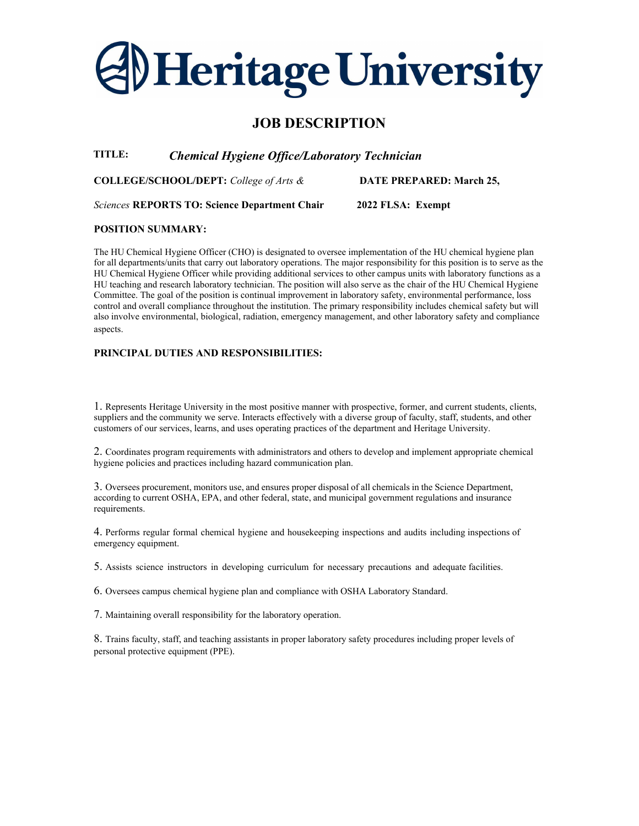# **Heritage University**

# JOB DESCRIPTION

TITLE: Chemical Hygiene Office/Laboratory Technician

COLLEGE/SCHOOL/DEPT: College of Arts &

DATE PREPARED: March 25,

Sciences REPORTS TO: Science Department Chair

2022 FLSA: Exempt

## POSITION SUMMARY:

The HU Chemical Hygiene Officer (CHO) is designated to oversee implementation of the HU chemical hygiene plan for all departments/units that carry out laboratory operations. The major responsibility for this position is to serve as the HU Chemical Hygiene Officer while providing additional services to other campus units with laboratory functions as a HU teaching and research laboratory technician. The position will also serve as the chair of the HU Chemical Hygiene Committee. The goal of the position is continual improvement in laboratory safety, environmental performance, loss control and overall compliance throughout the institution. The primary responsibility includes chemical safety but will also involve environmental, biological, radiation, emergency management, and other laboratory safety and compliance aspects.

# PRINCIPAL DUTIES AND RESPONSIBILITIES:

1. Represents Heritage University in the most positive manner with prospective, former, and current students, clients, suppliers and the community we serve. Interacts effectively with a diverse group of faculty, staff, students, and other customers of our services, learns, and uses operating practices of the department and Heritage University.

2. Coordinates program requirements with administrators and others to develop and implement appropriate chemical hygiene policies and practices including hazard communication plan.

3. Oversees procurement, monitors use, and ensures proper disposal of all chemicals in the Science Department, according to current OSHA, EPA, and other federal, state, and municipal government regulations and insurance requirements.

4. Performs regular formal chemical hygiene and housekeeping inspections and audits including inspections of emergency equipment.

5. Assists science instructors in developing curriculum for necessary precautions and adequate facilities.

6. Oversees campus chemical hygiene plan and compliance with OSHA Laboratory Standard.

7. Maintaining overall responsibility for the laboratory operation.

8. Trains faculty, staff, and teaching assistants in proper laboratory safety procedures including proper levels of personal protective equipment (PPE).